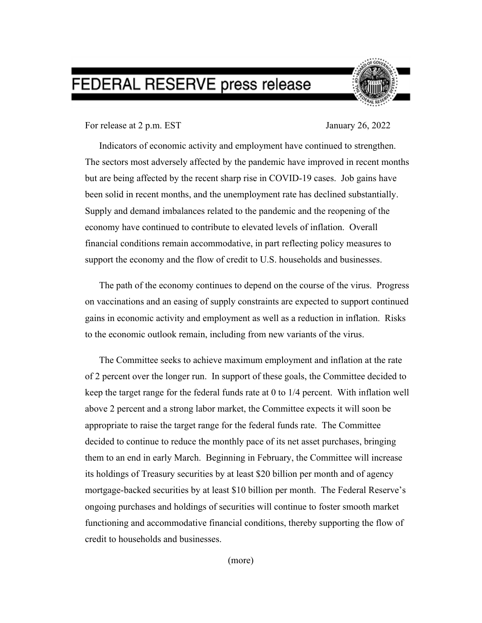## FEDERAL RESERVE press release



For release at 2 p.m. EST January 26, 2022

Indicators of economic activity and employment have continued to strengthen. The sectors most adversely affected by the pandemic have improved in recent months but are being affected by the recent sharp rise in COVID-19 cases. Job gains have been solid in recent months, and the unemployment rate has declined substantially. Supply and demand imbalances related to the pandemic and the reopening of the economy have continued to contribute to elevated levels of inflation. Overall financial conditions remain accommodative, in part reflecting policy measures to support the economy and the flow of credit to U.S. households and businesses.

The path of the economy continues to depend on the course of the virus. Progress on vaccinations and an easing of supply constraints are expected to support continued gains in economic activity and employment as well as a reduction in inflation. Risks to the economic outlook remain, including from new variants of the virus.

The Committee seeks to achieve maximum employment and inflation at the rate of 2 percent over the longer run. In support of these goals, the Committee decided to keep the target range for the federal funds rate at 0 to 1/4 percent. With inflation well above 2 percent and a strong labor market, the Committee expects it will soon be appropriate to raise the target range for the federal funds rate. The Committee decided to continue to reduce the monthly pace of its net asset purchases, bringing them to an end in early March. Beginning in February, the Committee will increase its holdings of Treasury securities by at least \$20 billion per month and of agency mortgage-backed securities by at least \$10 billion per month. The Federal Reserve's ongoing purchases and holdings of securities will continue to foster smooth market functioning and accommodative financial conditions, thereby supporting the flow of credit to households and businesses.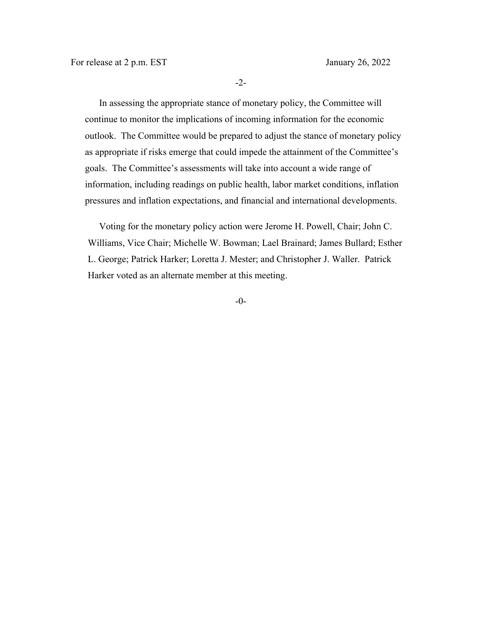-2-

In assessing the appropriate stance of monetary policy, the Committee will continue to monitor the implications of incoming information for the economic outlook. The Committee would be prepared to adjust the stance of monetary policy as appropriate if risks emerge that could impede the attainment of the Committee's goals. The Committee's assessments will take into account a wide range of information, including readings on public health, labor market conditions, inflation pressures and inflation expectations, and financial and international developments.

 Voting for the monetary policy action were Jerome H. Powell, Chair; John C. Williams, Vice Chair; Michelle W. Bowman; Lael Brainard; James Bullard; Esther L. George; Patrick Harker; Loretta J. Mester; and Christopher J. Waller. Patrick Harker voted as an alternate member at this meeting.

-0-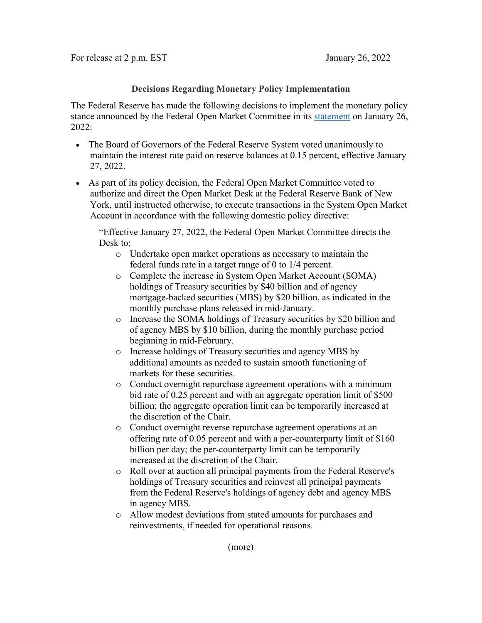## **Decisions Regarding Monetary Policy Implementation**

The Federal Reserve has made the following decisions to implement the monetary policy stance announced by the Federal Open Market Committee in its [statement](https://www.federalreserve.gov/newsevents/pressreleases/monetary20220126a.htm) on January 26, 2022:

- The Board of Governors of the Federal Reserve System voted unanimously to maintain the interest rate paid on reserve balances at 0.15 percent, effective January 27, 2022.
- As part of its policy decision, the Federal Open Market Committee voted to authorize and direct the Open Market Desk at the Federal Reserve Bank of New York, until instructed otherwise, to execute transactions in the System Open Market Account in accordance with the following domestic policy directive:

"Effective January 27, 2022, the Federal Open Market Committee directs the Desk to:

- o Undertake open market operations as necessary to maintain the federal funds rate in a target range of 0 to 1/4 percent.
- o Complete the increase in System Open Market Account (SOMA) holdings of Treasury securities by \$40 billion and of agency mortgage-backed securities (MBS) by \$20 billion, as indicated in the monthly purchase plans released in mid-January.
- o Increase the SOMA holdings of Treasury securities by \$20 billion and of agency MBS by \$10 billion, during the monthly purchase period beginning in mid-February.
- o Increase holdings of Treasury securities and agency MBS by additional amounts as needed to sustain smooth functioning of markets for these securities.
- o Conduct overnight repurchase agreement operations with a minimum bid rate of 0.25 percent and with an aggregate operation limit of \$500 billion; the aggregate operation limit can be temporarily increased at the discretion of the Chair.
- o Conduct overnight reverse repurchase agreement operations at an offering rate of 0.05 percent and with a per-counterparty limit of \$160 billion per day; the per-counterparty limit can be temporarily increased at the discretion of the Chair.
- o Roll over at auction all principal payments from the Federal Reserve's holdings of Treasury securities and reinvest all principal payments from the Federal Reserve's holdings of agency debt and agency MBS in agency MBS.
- o Allow modest deviations from stated amounts for purchases and reinvestments, if needed for operational reasons.

(more)